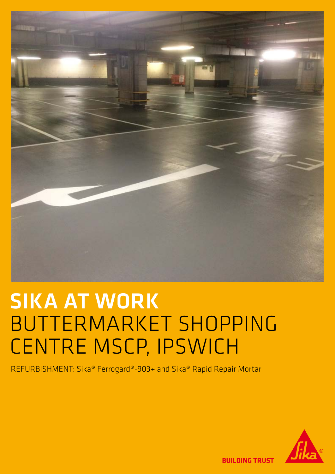

## SIKA AT WORK BUTTERMARKET SHOPPING CENTRE MSCP, IPSWICH

REFURBISHMENT: Sika® Ferrogard®-903+ and Sika® Rapid Repair Mortar



**BUILDING TRUST**